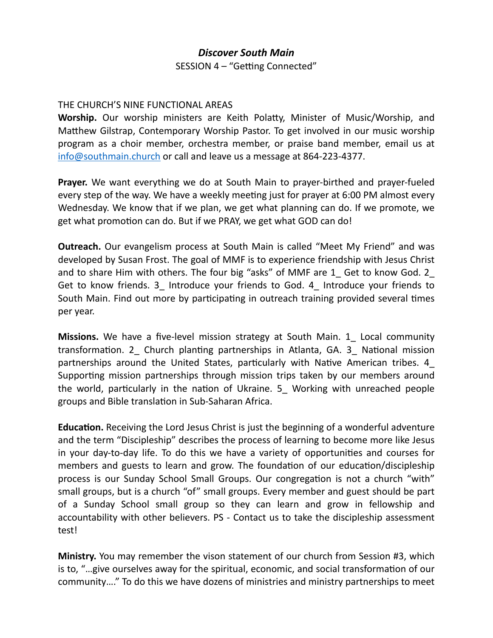## *Discover South Main*

SESSION 4 – "Getting Connected"

## THE CHURCH'S NINE FUNCTIONAL AREAS

**Worship.** Our worship ministers are Keith Polatty, Minister of Music/Worship, and Matthew Gilstrap, Contemporary Worship Pastor. To get involved in our music worship program as a choir member, orchestra member, or praise band member, email us at [info@southmain.church](mailto:info@southmain.church) or call and leave us a message at 864-223-4377.

**Prayer.** We want everything we do at South Main to prayer-birthed and prayer-fueled every step of the way. We have a weekly meeting just for prayer at 6:00 PM almost every Wednesday. We know that if we plan, we get what planning can do. If we promote, we get what promotion can do. But if we PRAY, we get what GOD can do!

**Outreach.** Our evangelism process at South Main is called "Meet My Friend" and was developed by Susan Frost. The goal of MMF is to experience friendship with Jesus Christ and to share Him with others. The four big "asks" of MMF are 1 Get to know God. 2 Get to know friends. 3\_ Introduce your friends to God. 4\_ Introduce your friends to South Main. Find out more by participating in outreach training provided several times per year.

**Missions.** We have a five-level mission strategy at South Main. 1 Local community transformation. 2\_ Church planting partnerships in Atlanta, GA. 3\_ National mission partnerships around the United States, particularly with Native American tribes. 4\_ Supporting mission partnerships through mission trips taken by our members around the world, particularly in the nation of Ukraine. 5\_ Working with unreached people groups and Bible translation in Sub-Saharan Africa.

**Education.** Receiving the Lord Jesus Christ is just the beginning of a wonderful adventure and the term "Discipleship" describes the process of learning to become more like Jesus in your day-to-day life. To do this we have a variety of opportunities and courses for members and guests to learn and grow. The foundation of our education/discipleship process is our Sunday School Small Groups. Our congregation is not a church "with" small groups, but is a church "of" small groups. Every member and guest should be part of a Sunday School small group so they can learn and grow in fellowship and accountability with other believers. PS - Contact us to take the discipleship assessment test!

**Ministry.** You may remember the vison statement of our church from Session #3, which is to, "…give ourselves away for the spiritual, economic, and social transformation of our community…." To do this we have dozens of ministries and ministry partnerships to meet